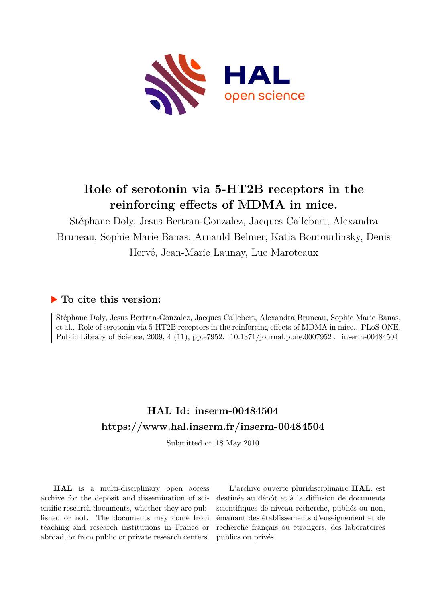

## **Role of serotonin via 5-HT2B receptors in the reinforcing effects of MDMA in mice.**

Stéphane Doly, Jesus Bertran-Gonzalez, Jacques Callebert, Alexandra Bruneau, Sophie Marie Banas, Arnauld Belmer, Katia Boutourlinsky, Denis Hervé, Jean-Marie Launay, Luc Maroteaux

## **To cite this version:**

Stéphane Doly, Jesus Bertran-Gonzalez, Jacques Callebert, Alexandra Bruneau, Sophie Marie Banas, et al.. Role of serotonin via 5-HT2B receptors in the reinforcing effects of MDMA in mice.. PLoS ONE, Public Library of Science, 2009, 4 (11), pp.e7952. 10.1371/journal.pone.0007952. inserm-00484504

## **HAL Id: inserm-00484504 <https://www.hal.inserm.fr/inserm-00484504>**

Submitted on 18 May 2010

**HAL** is a multi-disciplinary open access archive for the deposit and dissemination of scientific research documents, whether they are published or not. The documents may come from teaching and research institutions in France or abroad, or from public or private research centers.

L'archive ouverte pluridisciplinaire **HAL**, est destinée au dépôt et à la diffusion de documents scientifiques de niveau recherche, publiés ou non, émanant des établissements d'enseignement et de recherche français ou étrangers, des laboratoires publics ou privés.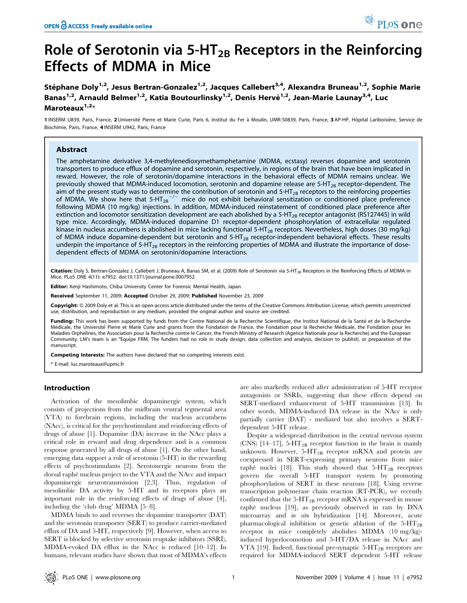# Role of Serotonin via  $5-HT_{2B}$  Receptors in the Reinforcing Effects of MDMA in Mice

Stéphane Doly<sup>1,2</sup>, Jesus Bertran-Gonzalez<sup>1,2</sup>, Jacques Callebert<sup>3,4</sup>, Alexandra Bruneau<sup>1,2</sup>, Sophie Marie Banas<sup>1,2</sup>, Arnauld Belmer<sup>1,2</sup>, Katia Boutourlinsky<sup>1,2</sup>, Denis Hervé<sup>1,2</sup>, Jean-Marie Launay<sup>3,4</sup>, Luc Maroteaux $1,2*$ 

1 INSERM U839, Paris, France, 2 Université Pierre et Marie Curie, Paris 6, Institut du Fer à Moulin, UMR-S0839, Paris, France, 3 AP-HP, Hôpital Lariboisière, Service de Biochimie, Paris, France, 4 INSERM U942, Paris, France

### Abstract

The amphetamine derivative 3,4-methylenedioxymethamphetamine (MDMA, ecstasy) reverses dopamine and serotonin transporters to produce efflux of dopamine and serotonin, respectively, in regions of the brain that have been implicated in reward. However, the role of serotonin/dopamine interactions in the behavioral effects of MDMA remains unclear. We previously showed that MDMA-induced locomotion, serotonin and dopamine release are  $5-HT_{2B}$  receptor-dependent. The aim of the present study was to determine the contribution of serotonin and  $5-HT_{2B}$  receptors to the reinforcing properties of MDMA. We show here that 5-HT<sub>2B</sub><sup>-/-</sup> mice do not exhibit behavioral sensitization or conditioned place preference following MDMA (10 mg/kg) injections. In addition, MDMA-induced reinstatement of conditioned place preference after extinction and locomotor sensitization development are each abolished by a 5-HT<sub>2B</sub> receptor antagonist (RS127445) in wild type mice. Accordingly, MDMA-induced dopamine D1 receptor-dependent phosphorylation of extracellular regulated kinase in nucleus accumbens is abolished in mice lacking functional 5-HT<sub>2B</sub> receptors. Nevertheless, high doses (30 mg/kg) of MDMA induce dopamine-dependent but serotonin and 5-HT<sub>2B</sub> receptor-independent behavioral effects. These results underpin the importance of 5-HT<sub>2B</sub> receptors in the reinforcing properties of MDMA and illustrate the importance of dosedependent effects of MDMA on serotonin/dopamine interactions.

Citation: Doly S, Bertran-Gonzalez J, Callebert J, Bruneau A, Banas SM, et al. (2009) Role of Serotonin via 5-HT<sub>2B</sub> Receptors in the Reinforcing Effects of MDMA in Mice. PLoS ONE 4(11): e7952. doi:10.1371/journal.pone.0007952

Editor: Kenji Hashimoto, Chiba University Center for Forensic Mental Health, Japan

Received September 11, 2009; Accepted October 29, 2009; Published November 23, 2009

Copyright: © 2009 Doly et al. This is an open-access article distributed under the terms of the Creative Commons Attribution License, which permits unrestricted use, distribution, and reproduction in any medium, provided the original author and source are credited.

Funding: This work has been supported by funds from the Centre National de la Recherche Scientifique, the Institut National de la Santé et de la Recherche Médicale, the Université Pierre et Marie Curie and grants from the Fondation de France, the Fondation pour la Recherche Médicale, the Fondation pour les Maladies Orphelines, the Association pour la Recherche contre le Cancer, the French Ministry of Research (Agence Nationale pour la Recherche) and the European Community. LM's team is an "Equipe FRM. The funders had no role in study design, data collection and analysis, decision to publish, or preparation of the manuscript.

Competing Interests: The authors have declared that no competing interests exist.

\* E-mail: luc.maroteaux@upmc.fr

## Introduction

Activation of the mesolimbic dopaminergic system, which consists of projections from the midbrain ventral tegmental area (VTA) to forebrain regions, including the nucleus accumbens (NAcc), is critical for the psychostimulant and reinforcing effects of drugs of abuse [1]. Dopamine (DA) increase in the NAcc plays a critical role in reward and drug dependence and is a common response generated by all drugs of abuse [1]. On the other hand, emerging data support a role of serotonin (5-HT) in the rewarding effects of psychostimulants [2]. Serotonergic neurons from the dorsal raphé nucleus project to the VTA and the NAcc and impact dopaminergic neurotransmission [2,3]. Thus, regulation of mesolimbic DA activity by 5-HT and its receptors plays an important role in the reinforcing effects of drugs of abuse [4], including the 'club drug' MDMA [5–8].

MDMA binds to and reverses the dopamine transporter (DAT) and the serotonin transporter (SERT) to produce carrier-mediated efflux of DA and 5-HT, respectively [9]. However, when access to SERT is blocked by selective serotonin reuptake inhibitors (SSRI), MDMA-evoked DA efflux in the NAcc is reduced [10–12]. In humans, relevant studies have shown that most of MDMA's effects are also markedly reduced after administration of 5-HT receptor antagonists or SSRIs, suggesting that these effects depend on SERT-mediated enhancement of 5-HT transmission [13]. In other words, MDMA-induced DA release in the NAcc is only partially carrier (DAT) - mediated but also involves a SERTdependent 5-HT release.

Despite a widespread distribution in the central nervous system (CNS)  $[14-17]$ , 5-HT<sub>2B</sub> receptor function in the brain is mainly unknown. However,  $5-HT_{2B}$  receptor mRNA and protein are coexpressed in SERT-expressing primary neurons from mice raphe` nuclei [18]. This study showed that  $5-HT_{2B}$  receptors govern the overall 5-HT transport system by promoting phosphorylation of SERT in these neurons [18]. Using reverse transcription polymerase chain reaction (RT-PCR), we recently confirmed that the  $5-\text{HT}_{2B}$  receptor mRNA is expressed in mouse raphé nucleus [19], as previously observed in rats by DNA microarray and in situ hybridization [14]. Moreover, acute pharmacological inhibition or genetic ablation of the  $5-HT_{2B}$ receptor in mice completely abolishes MDMA (10 mg/kg) induced hyperlocomotion and 5-HT/DA release in NAcc and VTA [19]. Indeed, functional pre-synaptic  $5-HT_{2B}$  receptors are required for MDMA-induced SERT dependent 5-HT release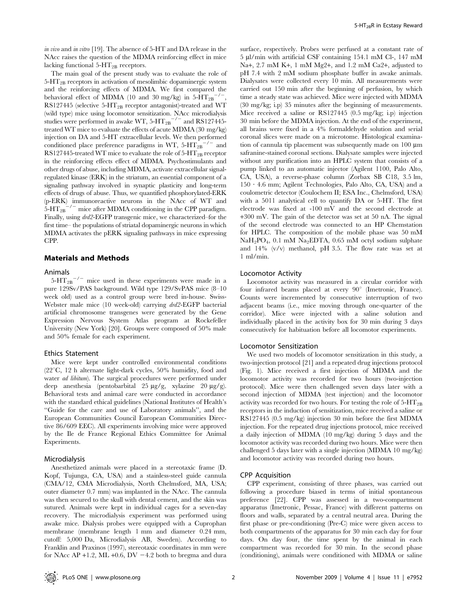in vivo and in vitro [19]. The absence of 5-HT and DA release in the NAcc raises the question of the MDMA reinforcing effect in mice lacking functional  $5-HT_{2B}$  receptors.

The main goal of the present study was to evaluate the role of  $5-\text{HT}_{2B}$  receptors in activation of mesolimbic dopaminergic system and the reinforcing effects of MDMA. We first compared the behavioral effect of MDMA (10 and 30 mg/kg) in  $5-HT_{2B}^{-1}$ . RS127445 (selective 5-HT<sub>2B</sub> receptor antagonist)-treated and WT (wild type) mice using locomotor sensitization. NAcc microdialysis studies were performed in awake WT,  $5-HT_{2B}^{-1/2}$  and RS127445treated WT mice to evaluate the effects of acute MDMA (30 mg/kg) injection on DA and 5-HT extracellular levels. We then performed conditioned place preference paradigms in WT,  $5-HT_{2B}^{-1/2}$  and RS127445-treated WT mice to evaluate the role of 5-HT<sub>2B</sub> receptor in the reinforcing effects effect of MDMA. Psychostimulants and other drugs of abuse, including MDMA, activate extracellular signalregulated kinase (ERK) in the striatum, an essential component of a signaling pathway involved in synaptic plasticity and long-term effects of drugs of abuse. Thus, we quantified phosphorylated-ERK (p-ERK) immunoreactive neurons in the NAcc of WT and  $5-HT_{2B}$ <sup>-/-</sup> mice after MDMA conditioning in the CPP paradigm. Finally, using drd2-EGFP transgenic mice, we characterized–for the first time– the populations of striatal dopaminergic neurons in which MDMA activates the pERK signaling pathways in mice expressing CPP.

#### Materials and Methods

#### Animals

 $5-HT_{2B}$ <sup>-/-</sup> mice used in these experiments were made in a pure 129Sv/PAS background. Wild type 129/SvPAS mice (8–10 week old) used as a control group were bred in-house. Swiss-Webster male mice (10 week-old) carrying  $dr/d2$ -EGFP bacterial artificial chromosome transgenes were generated by the Gene Expression Nervous System Atlas program at Rockefeller University (New York) [20]. Groups were composed of 50% male and 50% female for each experiment.

#### Ethics Statement

Mice were kept under controlled environmental conditions  $(22^{\circ}C, 12 h$  alternate light-dark cycles, 50% humidity, food and water *ad libitum*). The surgical procedures were performed under deep anesthesia (pentobarbital 25 µg/g, xylazine 20 µg/g). Behavioral tests and animal care were conducted in accordance with the standard ethical guidelines (National Institutes of Health's ''Guide for the care and use of Laboratory animals'', and the European Communities Council European Communities Directive 86/609 EEC). All experiments involving mice were approved by the Ile de France Regional Ethics Committee for Animal Experiments.

#### Microdialysis

Anesthetized animals were placed in a stereotaxic frame (D. Kopf, Tujunga, CA, USA) and a stainless-steel guide cannula (CMA/12, CMA Microdialysis, North Chelmsford, MA, USA; outer diameter 0.7 mm) was implanted in the NAcc. The cannula was then secured to the skull with dental cement, and the skin was sutured. Animals were kept in individual cages for a seven-day recovery. The microdialysis experiment was performed using awake mice. Dialysis probes were equipped with a Cuprophan membrane (membrane length 1 mm and diameter 0.24 mm, cutoff: 5,000 Da, Microdialysis AB, Sweden). According to Franklin and Praxinos (1997), stereotaxic coordinates in mm were for NAcc AP +1.2, ML +0.6, DV  $-4.2$  both to bregma and dura

surface, respectively. Probes were perfused at a constant rate of 5 ml/min with artificial CSF containing 154.1 mM Cl-, 147 mM Na+, 2.7 mM K+, 1 mM Mg2+, and 1.2 mM Ca2+, adjusted to pH 7.4 with 2 mM sodium phosphate buffer in awake animals. Dialysates were collected every 10 min. All measurements were carried out 150 min after the beginning of perfusion, by which time a steady state was achieved. Mice were injected with MDMA (30 mg/kg; i.p) 35 minutes after the beginning of measurements. Mice received a saline or RS127445 (0.5 mg/kg; i.p) injection 30 min before the MDMA injection. At the end of the experiment, all brains were fixed in a 4% formaldehyde solution and serial coronal slices were made on a microtome. Histological examination of cannula tip placement was subsequently made on  $100 \mu m$ safranine-stained coronal sections. Dialysate samples were injected without any purification into an HPLC system that consists of a pump linked to an automatic injector (Agilent 1100, Palo Alto, CA, USA), a reverse-phase column (Zorbax SB C18, 3.5 lm,  $150 \cdot 4.6$  mm; Agilent Technologies, Palo Alto, CA, USA) and a coulometric detector (Coulochem II; ESA Inc., Chelmsford, USA) with a 5011 analytical cell to quantify DA or 5-HT. The first electrode was fixed at -100 mV and the second electrode at +300 mV. The gain of the detector was set at 50 nA. The signal of the second electrode was connected to an HP Chemstation for HPLC. The composition of the mobile phase was 50 mM NaH<sub>2</sub>PO<sub>4</sub>, 0.1 mM Na<sub>2</sub>EDTA, 0.65 mM octyl sodium sulphate and 14% (v/v) methanol, pH 3.5. The flow rate was set at 1 ml/min.

#### Locomotor Activity

Locomotor activity was measured in a circular corridor with four infrared beams placed at every  $90^{\circ}$  (Imetronic, France). Counts were incremented by consecutive interruption of two adjacent beams (i.e., mice moving through one-quarter of the corridor). Mice were injected with a saline solution and individually placed in the activity box for 30 min during 3 days consecutively for habituation before all locomotor experiments.

#### Locomotor Sensitization

We used two models of locomotor sensitization in this study, a two-injection protocol [21] and a repeated drug injections protocol (Fig. 1). Mice received a first injection of MDMA and the locomotor activity was recorded for two hours (two-injection protocol). Mice were then challenged seven days later with a second injection of MDMA (test injection) and the locomotor activity was recorded for two hours. For testing the role of 5-HT2B receptors in the induction of sensitization, mice received a saline or RS127445 (0.5 mg/kg) injection 30 min before the first MDMA injection. For the repeated drug injections protocol, mice received a daily injection of MDMA (10 mg/kg) during 5 days and the locomotor activity was recorded during two hours. Mice were then challenged 5 days later with a single injection (MDMA 10 mg/kg) and locomotor activity was recorded during two hours.

#### CPP Acquisition

CPP experiment, consisting of three phases, was carried out following a procedure biased in terms of initial spontaneous preference [22]. CPP was assessed in a two-compartment apparatus (Imetronic, Pessac, France) with different patterns on floors and walls, separated by a central neutral area. During the first phase or pre-conditioning (Pre-C) mice were given access to both compartments of the apparatus for 30 min each day for four days. On day four, the time spent by the animal in each compartment was recorded for 30 min. In the second phase (conditioning), animals were conditioned with MDMA or saline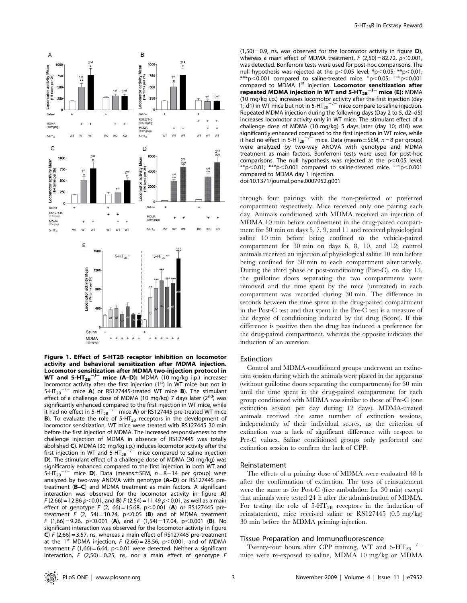

Figure 1. Effect of 5-HT2B receptor inhibition on locomotor activity and behavioral sensitization after MDMA injection. Locomotor sensitization after MDMA two-injection protocol in<br>WT and 5-HT<sub>2B</sub>-<sup>/–</sup> mice (A–D): MDMA (10 mg/kg i.p.) increases locomotor activity after the first injection (1st) in WT mice but not in 5-HT<sub>2B</sub><sup>-/-</sup> mice **A**) or RS127445-treated WT mice **B**). The stimulant effect of a challenge dose of MDMA (10 mg/kg) 7 days later  $(2^{nd})$  was significantly enhanced compared to the first injection in WT mice, while it had no effect in 5-HT<sub>2B</sub><sup>-/-</sup> mice **A**) or RS127445 pre-treated WT mice **B**). To evaluate the role of  $5-HT_{2B}$  receptors in the development of locomotor sensitization, WT mice were treated with RS127445 30 min before the first injection of MDMA. The increased responsiveness to the challenge injection of MDMA in absence of RS127445 was totally abolished **C**). MDMA (30 mg/kg i.p.) induces locomotor activity after the<br>first injection in WT and 5-HT<sub>2B</sub><sup>-/–</sup> mice compared to saline injection D). The stimulant effect of a challenge dose of MDMA (30 mg/kg) was significantly enhanced compared to the first injection in both WT and 5-HT<sub>2B</sub><sup>-/-</sup> mice **D**). Data (means $\pm$ SEM, n = 8-14 per group) were analyzed by two-way ANOVA with genotype (A–D) or RS127445 pretreatment (B–C) and MDMA treatment as main factors. A significant interaction was observed for the locomotor activity in figure A)  $F(2,66) = 12.86 p<0.01$ , and **B**)  $F(2,54) = 11.49 p<0.01$ , as well as a main effect of genotype F (2, 66) = 15.68, p<0.001 (A) or RS127445 pretreatment F  $(2, 54) = 10.24$ ,  $p < 0.05$  (B) and of MDMA treatment F (1,66) = 9.26, p<0.001 (A), and F (1,54) = 17.04, p<0.001 (B). No significant interaction was observed for the locomotor activity in figure C)  $F(2,66) = 3.57$ , ns, whereas a main effect of RS127445 pre-treatment at the 1<sup>st</sup> MDMA injection, F (2,66) = 28.56, p $\lt$ 0.001, and of MDMA treatment F (1,66) = 6.64, p<0.01 were detected. Neither a significant interaction, F  $(2,50) = 0.25$ , ns, nor a main effect of genotype F

 $(1,50) = 0.9$ , ns, was observed for the locomotor activity in figure **D**), whereas a main effect of MDMA treatment,  $F(2,50) = 82.72$ ,  $p < 0.001$ , was detected. Bonferroni tests were used for post-hoc comparisons. The null hypothesis was rejected at the  $p<0.05$  level; \*p $<0.05$ ; \*\*p $<0.01$ ; \*\*\*p $< 0.001$  compared to saline-treated mice.  $p < 0.05$ ;  $p > 0.001$ compared to MDMA 1<sup>st</sup> injection. Locomotor sensitization after repeated MDMA injection in WT and 5-HT $_{28}^{-/-}$  mice (E): MDMA (10 mg/kg i.p.) increases locomotor activity after the first injection (day 1; d1) in WT mice but not in 5-HT<sub>2B</sub><sup>-/-</sup> mice compare to saline injection. Repeated MDMA injection during the following days (Day 2 to 5, d2–d5) increases locomotor activity only in WT mice. The stimulant effect of a challenge dose of MDMA (10 mg/kg) 5 days later (day 10; d10) was significantly enhanced compared to the first injection in WT mice, while<br>it had no effect in 5-HT<sub>2B</sub><sup>-/-</sup> mice. Data (means±SEM, *n* = 8 per group) were analyzed by two-way ANOVA with genotype and MDMA treatment as main factors. Bonferroni tests were used for post-hoc comparisons. The null hypothesis was rejected at the  $p$ <0.05 level; \*\*p $<$ 0.01; \*\*\*p $<$ 0.001 compared to saline-treated mice.  $^{\circ\circ}$ p $<$ 0.001 compared to MDMA day 1 injection.

doi:10.1371/journal.pone.0007952.g001

through four pairings with the non-preferred or preferred compartment respectively. Mice received only one pairing each day. Animals conditioned with MDMA received an injection of MDMA 10 min before confinement in the drug-paired compartment for 30 min on days 5, 7, 9, and 11 and received physiological saline 10 min before being confined to the vehicle-paired compartment for 30 min on days 6, 8, 10, and 12; control animals received an injection of physiological saline 10 min before being confined for 30 min to each compartment alternatively. During the third phase or post-conditioning (Post-C), on day 13, the guillotine doors separating the two compartments were removed and the time spent by the mice (untreated) in each compartment was recorded during 30 min. The difference in seconds between the time spent in the drug-paired compartment in the Post-C test and that spent in the Pre-C test is a measure of the degree of conditioning induced by the drug (Score). If this difference is positive then the drug has induced a preference for the drug-paired compartment, whereas the opposite indicates the induction of an aversion.

#### Extinction

Control and MDMA-conditioned groups underwent an extinction session during which the animals were placed in the apparatus (without guillotine doors separating the compartments) for 30 min until the time spent in the drug-paired compartment for each group conditioned with MDMA was similar to those of Pre-C (one extinction session per day during 12 days). MDMA-treated animals received the same number of extinction sessions, independently of their individual scores, as the criterion of extinction was a lack of significant difference with respect to Pre-C values. Saline conditioned groups only performed one extinction session to confirm the lack of CPP.

#### Reinstatement

The effects of a priming dose of MDMA were evaluated 48 h after the confirmation of extinction. The tests of reinstatement were the same as for Post-C (free ambulation for 30 min) except that animals were tested 24 h after the administration of MDMA. For testing the role of  $5-HT_{2B}$  receptors in the induction of reinstatement, mice received saline or RS127445 (0.5 mg/kg) 30 min before the MDMA priming injection.

#### Tissue Preparation and Immunofluorescence

Twenty-four hours after CPP training, WT and  $5-HT_{2B}^{-/2}$ mice were re-exposed to saline, MDMA 10 mg/kg or MDMA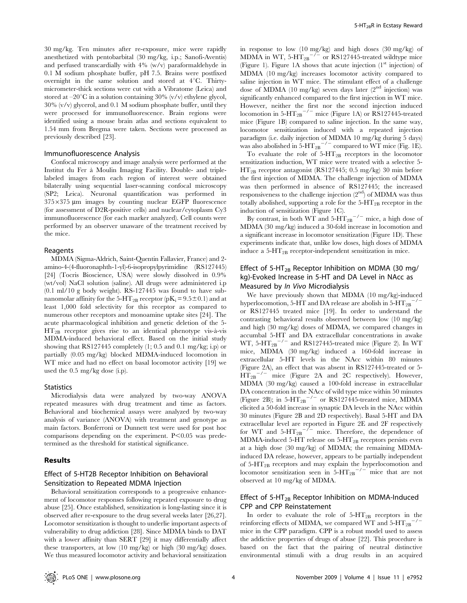30 mg/kg. Ten minutes after re-exposure, mice were rapidly anesthetized with pentobarbital (30 mg/kg, i.p.; Sanofi-Aventis) and perfused transcardially with 4% (w/v) paraformaldehyde in 0.1 M sodium phosphate buffer, pH 7.5. Brains were postfixed overnight in the same solution and stored at  $4^{\circ}C$ . Thirtymicrometer-thick sections were cut with a Vibratome (Leica) and stored at  $-20^{\circ}$ C in a solution containing 30% (v/v) ethylene glycol,  $30\%$  (v/v) glycerol, and 0.1 M sodium phosphate buffer, until they were processed for immunofluorescence. Brain regions were identified using a mouse brain atlas and sections equivalent to 1.54 mm from Bregma were taken. Sections were processed as previously described [23].

### Immunofluorescence Analysis

Confocal microscopy and image analysis were performed at the Institut du Fer a` Moulin Imaging Facility. Double- and triplelabeled images from each region of interest were obtained bilaterally using sequential laser-scanning confocal microscopy (SP2; Leica). Neuronal quantification was performed in  $375\times375$  µm images by counting nuclear EGFP fluorescence (for assessment of D2R-positive cells) and nuclear/cytoplasm Cy3 immunofluorescence (for each marker analyzed). Cell counts were performed by an observer unaware of the treatment received by the mice.

#### Reagents

MDMA (Sigma-Aldrich, Saint-Quentin Fallavier, France) and 2 amino-4-(4-fluoronaphth-1-yl)-6-isopropylpyrimidine (RS127445) [24] (Tocris Bioscience, USA) were slowly dissolved in 0.9% (wt/vol) NaCl solution (saline). All drugs were administered i.p (0.1 ml/10 g body weight). RS-127445 was found to have subnanomolar affinity for the 5-HT<sub>2B</sub> receptor ( $pK_i = 9.5 \pm 0.1$ ) and at least 1,000 fold selectivity for this receptor as compared to numerous other receptors and monoamine uptake sites [24]. The acute pharmacological inhibition and genetic deletion of the 5-  $HT_{2B}$  receptor gives rise to an identical phenotype vis-à-vis MDMA-induced behavioral effect. Based on the initial study showing that RS127445 completely (1; 0.5 and 0.1 mg/kg; i.p) or partially (0.05 mg/kg) blocked MDMA-induced locomotion in WT mice and had no effect on basal locomotor activity [19] we used the 0.5 mg/kg dose (i.p).

#### **Statistics**

Microdialysis data were analyzed by two-way ANOVA repeated measures with drug treatment and time as factors. Behavioral and biochemical assays were analyzed by two-way analysis of variance (ANOVA) with treatment and genotype as main factors. Bonferroni or Dunnett test were used for post hoc comparisons depending on the experiment.  $P<0.05$  was predetermined as the threshold for statistical significance.

#### Results

## Effect of 5-HT2B Receptor Inhibition on Behavioral Sensitization to Repeated MDMA Injection

Behavioral sensitization corresponds to a progressive enhancement of locomotor responses following repeated exposure to drug abuse [25]. Once established, sensitization is long-lasting since it is observed after re-exposure to the drug several weeks later [26,27]. Locomotor sensitization is thought to underlie important aspects of vulnerability to drug addiction [28]. Since MDMA binds to DAT with a lower affinity than SERT [29] it may differentially affect these transporters, at low (10 mg/kg) or high (30 mg/kg) doses. We thus measured locomotor activity and behavioral sensitization

in response to low (10 mg/kg) and high doses (30 mg/kg) of MDMA in WT,  $5-HT_{2B}^{-1/2}$  or RS127445-treated wildtype mice (Figure 1). Figure 1A shows that acute injection  $(1<sup>st</sup>$  injection) of MDMA (10 mg/kg) increases locomotor activity compared to saline injection in WT mice. The stimulant effect of a challenge dose of MDMA (10 mg/kg) seven days later  $(2^{nd}$  injection) was significantly enhanced compared to the first injection in WT mice. However, neither the first nor the second injection induced locomotion in  $5-HT_{2B}^{-/-}$  mice (Figure 1A) or RS127445-treated mice (Figure 1B) compared to saline injection. In the same way, locomotor sensitization induced with a repeated injection paradigm (i.e. daily injection of MDMA 10 mg/kg during 5 days) was also abolished in  $5-HT_{2B}^{-/-}$  compared to WT mice (Fig. 1E).

To evaluate the role of  $5-HT_{2B}$  receptors in the locomotor sensitization induction, WT mice were treated with a selective 5- HT2B receptor antagonist (RS127445; 0.5 mg/kg) 30 min before the first injection of MDMA. The challenge injection of MDMA was then performed in absence of RS127445; the increased responsiveness to the challenge injection  $(2^{nd})$  of MDMA was thus totally abolished, supporting a role for the  $5-HT_{2B}$  receptor in the induction of sensitization (Figure 1C).

By contrast, in both WT and  $5-HT_{2B}^{-/-}$  mice, a high dose of MDMA (30 mg/kg) induced a 30-fold increase in locomotion and a significant increase in locomotor sensitization (Figure 1D). These experiments indicate that, unlike low doses, high doses of MDMA induce a  $5-\text{HT}_{2B}$  receptor-independent sensitization in mice.

## Effect of 5-HT<sub>2B</sub> Receptor Inhibition on MDMA (30 mg/ kg)-Evoked Increase in 5-HT and DA Level in NAcc as Measured by In Vivo Microdialysis

We have previously shown that MDMA (10 mg/kg)-induced hyperlocomotion, 5-HT and DA release are abolish in  $5-HT_{2B}$ or RS127445 treated mice [19]. In order to understand the contrasting behavioral results observed between low (10 mg/kg) and high (30 mg/kg) doses of MDMA, we compared changes in accumbal 5-HT and DA extracellular concentrations in awake WT,  $5-\text{HT}_{2B}^{-/-}$  and RS127445-treated mice (Figure 2). In WT mice, MDMA (30 mg/kg) induced a 160-fold increase in extracellular 5-HT levels in the NAcc within 80 minutes (Figure 2A), an effect that was absent in RS127445-treated or 5-  $HT_{2B}^{-/-}$  mice (Figure 2A and 2C respectively). However, MDMA (30 mg/kg) caused a 100-fold increase in extracellular DA concentration in the NAcc of wild type mice within 50 minutes (Figure 2B); in 5-HT<sub>2B</sub><sup> $-/-$ </sup> or RS127445-treated mice, MDMA elicited a 50-fold increase in synaptic DA levels in the NAcc within 30 minutes (Figure 2B and 2D respectively). Basal 5-HT and DA extracellular level are reported in Figure 2E and 2F respectively for WT and  $5-HT_{2B}^{-/-}$  mice. Therefore, the dependence of MDMA-induced 5-HT release on 5-HT2B receptors persists even at a high dose (30 mg/kg) of MDMA; the remaining MDMAinduced DA release, however, appears to be partially independent of 5-HT2B receptors and may explain the hyperlocomotion and locomotor sensitization seen in  $5-HT_{2B}^{-1/2}$  mice that are not observed at 10 mg/kg of MDMA.

## Effect of 5-HT $_{2B}$  Receptor Inhibition on MDMA-Induced CPP and CPP Reinstatement

In order to evaluate the role of  $5-HT_{2B}$  receptors in the reinforcing effects of MDMA, we compared WT and  $5-HT_{2B}^{-/2}$ mice in the CPP paradigm. CPP is a robust model used to assess the addictive properties of drugs of abuse [22]. This procedure is based on the fact that the pairing of neutral distinctive environmental stimuli with a drug results in an acquired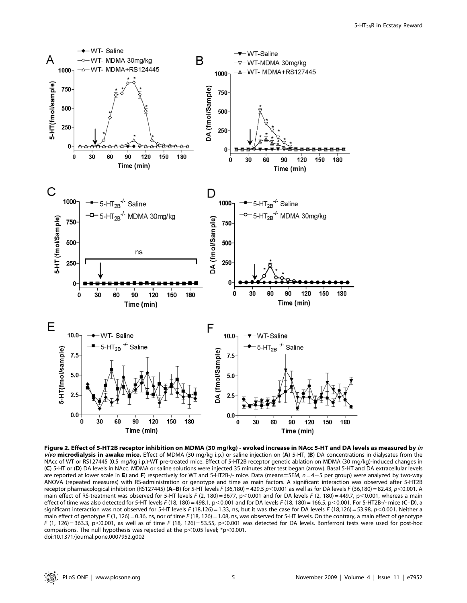

Figure 2. Effect of 5-HT2B receptor inhibition on MDMA (30 mg/kg) - evoked increase in NAcc 5-HT and DA levels as measured by in vivo microdialysis in awake mice. Effect of MDMA (30 mg/kg i.p.) or saline injection on  $(A)$  5-HT,  $(B)$  DA concentrations in dialysates from the NAcc of WT or RS127445 (0.5 mg/kg i.p.)-WT pre-treated mice. Effect of 5-HT2B receptor genetic ablation on MDMA (30 mg/kg)-induced changes in (C) 5-HT or (D) DA levels in NAcc. MDMA or saline solutions were injected 35 minutes after test began (arrow). Basal 5-HT and DA extracellular levels are reported at lower scale in E) and F) respectively for WT and 5-HT2B-/- mice. Data (means $\pm$ SEM,  $n = 4-5$  per group) were analyzed by two-way ANOVA (repeated measures) with RS-administration or genotype and time as main factors. A significant interaction was observed after 5-HT2B receptor pharmacological inhibition (RS127445) (A-B) for 5-HT levels F (36,180) = 429.5  $p$  < 0.001 as well as for DA levels F (36,180) = 82.43,  $p$  < 0.001. A main effect of RS-treatment was observed for 5-HT levels F (2, 180) = 3677, p<0.001 and for DA levels F (2, 180) = 449.7, p<0.001, whereas a main effect of time was also detected for 5-HT levels F (18, 180) = 498.1, p<0.001 and for DA levels F (18, 180) = 166.5, p<0.001. For 5-HT2B-/- mice (C-D), a significant interaction was not observed for 5-HT levels F (18,126) = 1.33, ns, but it was the case for DA levels F (18,126) = 53.98, p<0.001. Neither a main effect of genotype F (1, 126) = 0.36, ns, nor of time F (18, 126) = 1.08, ns, was observed for 5-HT levels. On the contrary, a main effect of genotype F (1, 126) = 363.3, p<0.001, as well as of time F (18, 126) = 53.55, p<0.001 was detected for DA levels. Bonferroni tests were used for post-hoc comparisons. The null hypothesis was rejected at the  $p<0.05$  level; \*p $<0.001$ . doi:10.1371/journal.pone.0007952.g002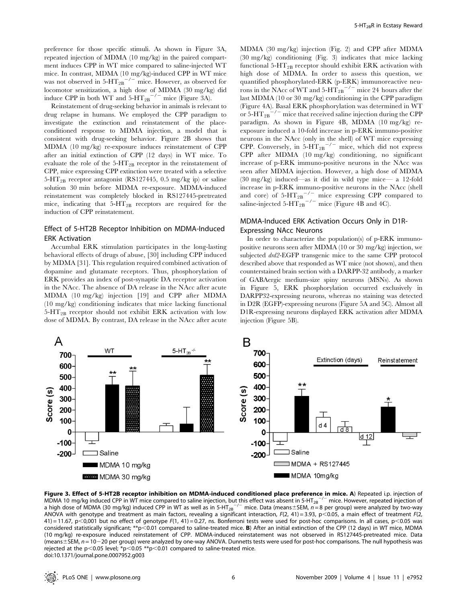preference for those specific stimuli. As shown in Figure 3A, repeated injection of MDMA (10 mg/kg) in the paired compartment induces CPP in WT mice compared to saline-injected WT mice. In contrast, MDMA (10 mg/kg)-induced CPP in WT mice was not observed in  $5-HT_{2B}^{-2}$  mice. However, as observed for locomotor sensitization, a high dose of MDMA (30 mg/kg) did induce CPP in both WT and  $5-HT_{2B}^{-/-}$  mice (Figure 3A).

Reinstatement of drug-seeking behavior in animals is relevant to drug relapse in humans. We employed the CPP paradigm to investigate the extinction and reinstatement of the placeconditioned response to MDMA injection, a model that is consistent with drug-seeking behavior. Figure 2B shows that MDMA (10 mg/kg) re-exposure induces reinstatement of CPP after an initial extinction of CPP (12 days) in WT mice. To evaluate the role of the  $5-\text{HT}_{2B}$  receptor in the reinstatement of CPP, mice expressing CPP extinction were treated with a selective  $5-\text{HT}_{2B}$  receptor antagonist (RS127445, 0.5 mg/kg ip) or saline solution 30 min before MDMA re-exposure. MDMA-induced reinstatement was completely blocked in RS127445-pretreated mice, indicating that  $5-HT_{2B}$  receptors are required for the induction of CPP reinstatement.

## Effect of 5-HT2B Receptor Inhibition on MDMA-Induced ERK Activation

Accumbal ERK stimulation participates in the long-lasting behavioral effects of drugs of abuse, [30] including CPP induced by MDMA [31]. This regulation required combined activation of dopamine and glutamate receptors. Thus, phosphorylation of ERK provides an index of post-synaptic DA receptor activation in the NAcc. The absence of DA release in the NAcc after acute MDMA (10 mg/kg) injection [19] and CPP after MDMA (10 mg/kg) conditioning indicates that mice lacking functional  $5-HT_{2B}$  receptor should not exhibit ERK activation with low dose of MDMA. By contrast, DA release in the NAcc after acute

MDMA (30 mg/kg) injection (Fig. 2) and CPP after MDMA (30 mg/kg) conditioning (Fig. 3) indicates that mice lacking functional 5-HT<sub>2B</sub> receptor should exhibit ERK activation with high dose of MDMA. In order to assess this question, we quantified phosphorylated-ERK (p-ERK) immunoreactive neurons in the NAcc of WT and  $5-HT_{2B}^{-2}$  mice 24 hours after the last MDMA (10 or 30 mg/kg) conditioning in the CPP paradigm (Figure 4A). Basal ERK phosphorylation was determined in WT or  $5-HT_{2B}^{-1}$  mice that received saline injection during the CPP paradigm. As shown in Figure 4B, MDMA (10 mg/kg) reexposure induced a 10-fold increase in p-ERK immuno-positive neurons in the NAcc (only in the shell) of WT mice expressing CPP. Conversely, in  $5-HT_{2B}$ <sup>-/-</sup> mice, which did not express CPP after MDMA (10 mg/kg) conditioning, no significant increase of p-ERK immuno-positive neurons in the NAcc was seen after MDMA injection. However, a high dose of MDMA (30 mg/kg) induced—as it did in wild type mice— a 12-fold increase in p-ERK immuno-positive neurons in the NAcc (shell and core) of  $5-HT_{2B}^{-/-}$  mice expressing CPP compared to saline-injected 5-HT<sub>2B</sub><sup>-/-</sup> mice (Figure 4B and 4C).

## MDMA-Induced ERK Activation Occurs Only in D1R-Expressing NAcc Neurons

In order to characterize the population(s) of p-ERK immunopositive neurons seen after MDMA (10 or 30 mg/kg) injection, we subjected drd2-EGFP transgenic mice to the same CPP protocol described above that responded as WT mice (not shown), and then counterstained brain section with a DARPP-32 antibody, a marker of GABAergic medium-size spiny neurons (MSNs). As shown in Figure 5, ERK phosphorylation occurred exclusively in DARPP32-expressing neurons, whereas no staining was detected in D2R (EGFP)-expressing neurons (Figure 5A and 5C). Almost all D1R-expressing neurons displayed ERK activation after MDMA injection (Figure 5B).



Figure 3. Effect of 5-HT2B receptor inhibition on MDMA-induced conditioned place preference in mice. A) Repeated i.p. injection of MDMA 10 mg/kg induced CPP in WT mice compared to saline injection, but this effect was absent in 5-HT<sub>2B</sub><sup>-/-</sup> mice. However, repeated injection of a high dose of MDMA (30 mg/kg) induced CPP in WT as well as in 5-HT<sub>2B</sub><sup>-/-</sup> mice. Data (means±SEM, n = 8 per group) were analyzed by two-way ANOVA with genotype and treatment as main factors, revealing a significant interaction,  $F(2, 41) = 3.93$ ,  $p < 0.05$ , a main effect of treatment  $F(2, 41)$  $41$ ) = 11.67, p<0,001 but no effect of genotype F(1, 41) = 0.27, ns. Bonferroni tests were used for post-hoc comparisons. In all cases, p<0.05 was considered statistically significant; \*\*p<0.01 compared to saline-treated mice. B) After an initial extinction of the CPP (12 days) in WT mice, MDMA (10 mg/kg) re-exposure induced reinstatement of CPP. MDMA-induced reinstatement was not observed in RS127445-pretreated mice. Data (means $\pm$ SEM,  $n = 10 - 20$  per group) were analyzed by one-way ANOVA. Dunnetts tests were used for post-hoc comparisons. The null hypothesis was rejected at the p<0.05 level; \*p<0.05 \*\*p<0.01 compared to saline-treated mice. doi:10.1371/journal.pone.0007952.g003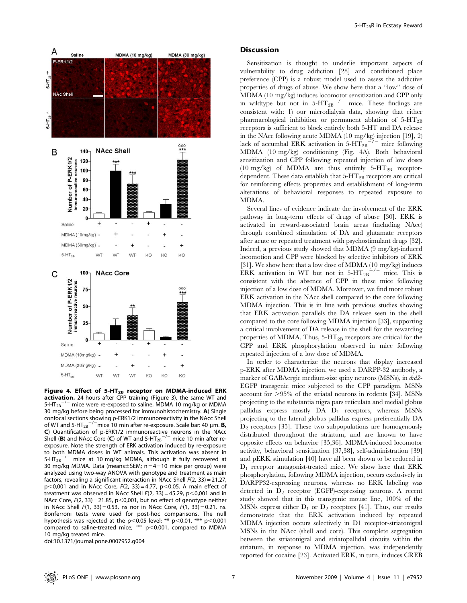

Figure 4. Effect of 5-HT<sub>2B</sub> receptor on MDMA-induced ERK activation. 24 hours after CPP training (Figure 3), the same WT and  $5-\text{HT}_{2B}^{-/-}$  mice were re-exposed to saline, MDMA 10 mg/kg or MDMA 30 mg/kg before being processed for immunohistochemistry. A) Single confocal sections showing p-ERK1/2 immunoreactivity in the NAcc Shell of WT and 5-HT<sub>2B</sub><sup>-/-</sup>mice 10 min after re-exposure. Scale bar: 40  $\mu$ m. **B**, C) Quantification of p-ERK1/2 immunoreactive neurons in the NAcc Shell (B) and NAcc Core (C) of WT and  $5-HT_{2B}^{-/-}$  mice 10 min after reexposure. Note the strength of ERK activation induced by re-exposure to both MDMA doses in WT animals. This activation was absent in 5-HT<sub>2B</sub> $^{-/-}$  mice at 10 mg/kg MDMA, although it fully recovered at 30 mg/kg MDMA. Data (means $\pm$ SEM; n = 4-10 mice per group) were analyzed using two-way ANOVA with genotype and treatment as main factors, revealing a significant interaction in NAcc Shell  $F(2, 33) = 21.27$ ,  $p$ <0,001 and in NAcc Core,  $F(2, 33) = 4.77$ ,  $p$ <0.05. A main effect of treatment was observed in NAcc Shell  $F(2, 33) = 45.29$ , p $< 0,001$  and in NAcc Core,  $F(2, 33) = 21.85$ ,  $p < 0.001$ , but no effect of genotype neither in NAcc Shell  $F(1, 33) = 0.53$ , ns nor in NAcc Core,  $F(1, 33) = 0.21$ , ns. Bonferroni tests were used for post-hoc comparisons. The null hypothesis was rejected at the p<0.05 level; \*\* p<0.01, \*\*\* p<0.001 compared to saline-treated mice;  $\degree$  p $<$ 0.001, compared to MDMA 10 mg/kg treated mice.

doi:10.1371/journal.pone.0007952.g004

#### **Discussion**

Sensitization is thought to underlie important aspects of vulnerability to drug addiction [28] and conditioned place preference (CPP) is a robust model used to assess the addictive properties of drugs of abuse. We show here that a ''low'' dose of MDMA (10 mg/kg) induces locomotor sensitization and CPP only in wildtype but not in  $5-HT_{2B}$ <sup>-/-</sup> mice. These findings are consistent with: 1) our microdialysis data, showing that either pharmacological inhibition or permanent ablation of  $5-HT_{2B}$ receptors is sufficient to block entirely both 5-HT and DA release in the NAcc following acute MDMA (10 mg/kg) injection [19], 2) lack of accumbal ERK activation in 5-HT<sub>2B</sub><sup>-/-</sup> mice following lack of accumbal ERK activation in  $5-HT_{2B}^-$ MDMA (10 mg/kg) conditioning (Fig. 4A). Both behavioral sensitization and CPP following repeated injection of low doses (10 mg/kg) of MDMA are thus entirely  $5-HT_{2B}$  receptordependent. These data establish that  $5-HT_{2B}$  receptors are critical for reinforcing effects properties and establishment of long-term alterations of behavioral responses to repeated exposure to MDMA.

Several lines of evidence indicate the involvement of the ERK pathway in long-term effects of drugs of abuse [30]. ERK is activated in reward-associated brain areas (including NAcc) through combined stimulation of DA and glutamate receptors after acute or repeated treatment with psychostimulant drugs [32]. Indeed, a previous study showed that MDMA (9 mg/kg)-induced locomotion and CPP were blocked by selective inhibitors of ERK [31]. We show here that a low dose of MDMA (10 mg/kg) induces ERK activation in WT but not in  $5-HT_{2B}^{-/-}$  mice. This is consistent with the absence of CPP in these mice following injection of a low dose of MDMA. Moreover, we find more robust ERK activation in the NAcc shell compared to the core following MDMA injection. This is in line with previous studies showing that ERK activation parallels the DA release seen in the shell compared to the core following MDMA injection [33], supporting a critical involvement of DA release in the shell for the rewarding properties of MDMA. Thus,  $5-\text{HT}_{2B}$  receptors are critical for the CPP and ERK phosphorylation observed in mice following repeated injection of a low dose of MDMA.

In order to characterize the neurons that display increased p-ERK after MDMA injection, we used a DARPP-32 antibody, a marker of GABAergic medium-size spiny neurons (MSNs), in drd2- EGFP transgenic mice subjected to the CPP paradigm. MSNs account for  $>95\%$  of the striatal neurons in rodents [34]. MSNs projecting to the substantia nigra pars reticulata and medial globus pallidus express mostly DA D<sub>1</sub> receptors, whereas MSNs projecting to the lateral globus pallidus express preferentially DA  $D_2$  receptors [35]. These two subpopulations are homogenously distributed throughout the striatum, and are known to have opposite effects on behavior [35,36]. MDMA-induced locomotor activity, behavioral sensitization [37,38], self-administration [39] and pERK stimulation [40] have all been shown to be reduced in  $D_1$  receptor antagonist-treated mice. We show here that ERK phosphorylation, following MDMA injection, occurs exclusively in DARPP32-expressing neurons, whereas no ERK labeling was detected in  $D_2$  receptor (EGFP)-expressing neurons. A recent study showed that in this transgenic mouse line, 100% of the MSNs express either  $D_1$  or  $D_2$  receptors [41]. Thus, our results demonstrate that the ERK activation induced by repeated MDMA injection occurs selectively in D1 receptor-striatonigral MSNs in the NAcc (shell and core). This complete segregation between the striatonigral and striatopallidal circuits within the striatum, in response to MDMA injection, was independently reported for cocaine [23]. Activated ERK, in turn, induces CREB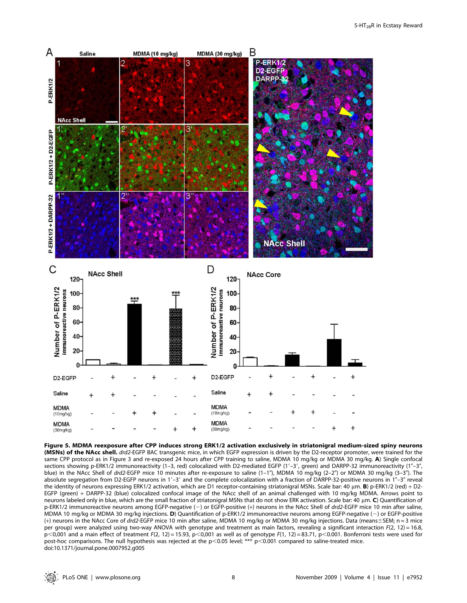

Figure 5. MDMA reexposure after CPP induces strong ERK1/2 activation exclusively in striatonigral medium-sized spiny neurons (MSNs) of the NAcc shell. drd2-EGFP BAC transgenic mice, in which EGFP expression is driven by the D2-receptor promoter, were trained for the same CPP protocol as in Figure 3 and re-exposed 24 hours after CPP training to saline, MDMA 10 mg/kg or MDMA 30 mg/kg. A) Single confocal sections showing p-ERK1/2 immunoreactivity (1-3, red) colocalized with D2-mediated EGFP (1'-3', green) and DARPP-32 immunoreactivity (1"-3", blue) in the NAcc Shell of drd2-EGFP mice 10 minutes after re-exposure to saline (1-1"), MDMA 10 mg/kg (2-2") or MDMA 30 mg/kg (3-3"). The absolute segregation from D2-EGFP neurons in 1'-3' and the complete colocalization with a fraction of DARPP-32-positive neurons in 1"-3" reveal the identity of neurons expressing ERK1/2 activation, which are D1 receptor-containing striatonigral MSNs. Scale bar: 40  $\mu$ m. B) p-ERK1/2 (red) + D2-EGFP (green) + DARPP-32 (blue) colocalized confocal image of the NAcc shell of an animal challenged with 10 mg/kg MDMA. Arrows point to neurons labeled only in blue, which are the small fraction of striatonigral MSNs that do not show ERK activation. Scale bar: 40  $\mu$ m. C) Quantification of p-ERK1/2 immunoreactive neurons among EGFP-negative (-) or EGFP-positive (+) neurons in the NAcc Shell of drd2-EGFP mice 10 min after saline, MDMA 10 mg/kg or MDMA 30 mg/kg injections. D) Quantification of p-ERK1/2 immunoreactive neurons among EGFP-negative (-) or EGFP-positive (+) neurons in the NAcc Core of drd2-EGFP mice 10 min after saline, MDMA 10 mg/kg or MDMA 30 mg/kg injections. Data (means $\pm$ SEM; n = 3 mice per group) were analyzed using two-way ANOVA with genotype and treatment as main factors, revealing a significant interaction  $F(2, 12) = 16.8$ , p<0,001 and a main effect of treatment F(2, 12) = 15.93, p<0,001 as well as of genotype F(1, 12) = 83.71, p<0.001. Bonferroni tests were used for post-hoc comparisons. The null hypothesis was rejected at the p<0.05 level; \*\*\* p<0.001 compared to saline-treated mice. doi:10.1371/journal.pone.0007952.g005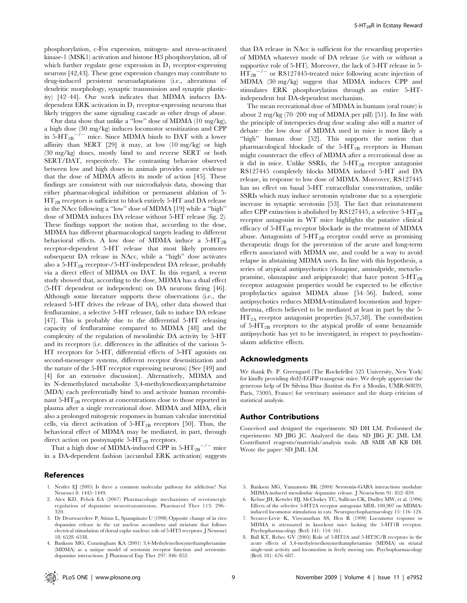phosphorylation, c-Fos expression, mitogen- and stress-activated kinase-1 (MSK1) activation and histone H3 phosphorylation, all of which further regulate gene expression in  $D_1$  receptor-expressing neurons [42,43]. These gene expression changes may contribute to drug-induced persistent neuroadaptations (i.e., alterations of dendritic morphology, synaptic transmission and synaptic plasticity) [42–44]. Our work indicates that MDMA induces DAdependent ERK activation in  $D_1$  receptor-expressing neurons that likely triggers the same signaling cascade as other drugs of abuse.

Our data show that unlike a ''low'' dose of MDMA (10 mg/kg), a high dose (30 mg/kg) induces locomotor sensitization and CPP in  $5-\text{HT}_{2\text{B}}^{-1}$  mice. Since MDMA binds to DAT with a lower affinity than SERT [29] it may, at low (10 mg/kg) or high (30 mg/kg) doses, mostly bind to and reverse SERT or both SERT/DAT, respectively. The contrasting behavior observed between low and high doses in animals provides some evidence that the dose of MDMA affects its mode of action [45]. These findings are consistent with our microdialysis data, showing that either pharmacological inhibition or permanent ablation of 5-  $HT_{2B}$  receptors is sufficient to block entirely 5-HT and DA release in the NAcc following a ''low'' dose of MDMA [19] while a ''high'' dose of MDMA induces DA release without 5-HT release (fig. 2). These findings support the notion that, according to the dose, MDMA has different pharmacological targets leading to different behavioral effects. A low dose of MDMA induce a  $5-HT_{2B}$ receptor-dependent 5-HT release that most likely promotes subsequent DA release in NAcc, while a ''high'' dose activates also a 5-HT2B receptor-/5-HT-independent DA release, probably via a direct effect of MDMA on DAT. In this regard, a recent study showed that, according to the dose, MDMA has a dual effect (5-HT dependent or independent) on DA neurons firing [46]. Although some literature supports these observations (i.e., the released 5-HT drives the release of DA), other data showed that fenfluramine, a selective 5-HT releaser, fails to induce DA release [47]. This is probably due to the differential 5-HT releasing capacity of fenfluramine compared to MDMA [48] and the complexity of the regulation of mesolimbic DA activity by 5-HT and its receptors (i.e. differences in the affinities of the various 5- HT receptors for 5-HT, differential effects of 5-HT agonists on second-messenger systems, different receptor desensitization and the nature of the 5-HT receptor expressing neurons) {See [49] and [4] for an extensive discussion}. Alternatively, MDMA and its N-demethylated metabolite 3,4-methylenedioxyamphetamine (MDA) each preferentially bind to and activate human recombinant  $5-HT_{2B}$  receptors at concentrations close to those reported in plasma after a single recreational dose. MDMA and MDA, elicit also a prolonged mitogenic responses in human valvular interstitial cells, via direct activation of  $5-HT_{2B}$  receptors [50]. Thus, the behavioral effect of MDMA may be mediated, in part, through direct action on postsynaptic  $5-\text{HT}_{2B}$  receptors.

That a high dose of MDMA-induced CPP in 5-HT $_{2\mathrm{B}}^{-/-}$  mice in a DA-dependent fashion (accumbal ERK activation) suggests

### References

- 1. Nestler EJ (2005) Is there a common molecular pathway for addiction? Nat Neurosci 8: 1445–1449.
- 2. Alex KD, Pehek EA (2007) Pharmacologic mechanisms of serotonergic regulation of dopamine neurotransmission. Pharmacol Ther 113: 296– 320.
- 3. De Deurwaerdere P, Stinus L, Spampinato U (1998) Opposite change of in vivo dopamine release in the rat nucleus accumbens and striatum that follows electrical stimulation of dorsal raphe nucleus: role of 5-HT3 receptors. J Neurosci 18: 6528–6538.
- 4. Bankson MG, Cunningham KA (2001) 3,4-Methylenedioxymethamphetamine (MDMA) as a unique model of serotonin receptor function and serotonindopamine interactions. J Pharmacol Exp Ther 297: 846–852.

that DA release in NAcc is sufficient for the rewarding properties of MDMA whatever mode of DA release (i.e with or without a supportive role of 5-HT). Moreover, the lack of 5-HT release in 5-  $HT_{2B}^{-/-}$  or RS127445-treated mice following acute injection of MDMA (30 mg/kg) suggest that MDMA induces CPP and stimulates ERK phosphorylation through an entire 5-HTindependent but DA-dependent mechanism.

The mean recreational dose of MDMA in humans (oral route) is about 2 mg/kg (70–200 mg of MDMA per pill) [51]. In line with the principle of interspecies drug dose scaling–also still a matter of debate– the low dose of MDMA used in mice is most likely a "high" human dose [52]. This supports the notion that pharmacological blockade of the  $5-HT_{2B}$  receptors in Human might counteract the effect of MDMA after a recreational dose as it did in mice. Unlike SSRIs, the  $5-HT_{2B}$  receptor antagonist RS127445 completely blocks MDMA induced 5-HT and DA release, in response to low dose of MDMA. Moreover, RS127445 has no effect on basal 5-HT extracellular concentration, unlike SSRIs which may induce serotonin syndrome due to a synergistic increase in synaptic serotonin [53]. The fact that reinstatement after CPP extinction is abolished by RS127445, a selective  $5-HT_{2B}$ receptor antagonist in WT mice highlights the putative clinical efficacy of  $5-HT_{2B}$  receptor blockade in the treatment of MDMA abuse. Antagonists of  $5-HT_{2B}$  receptor could serve as promising therapeutic drugs for the prevention of the acute and long-term effects associated with MDMA use, and could be a way to avoid relapse in abstaining MDMA users. In line with this hypothesis, a series of atypical antipsychotics (clozapine, amisulpride, metoclopramine, olanzapine and aripiprazole) that have potent  $5-HT_{2B}$ receptor antagonist properties would be expected to be effective prophylactics against MDMA abuse [54–56]. Indeed, some antipsychotics reduces MDMA-stimulated locomotion and hyperthermia, effects believed to be mediated at least in part by the 5-  $HT_{2A}$  receptor antagonist properties [6,57,58]. The contribution of  $5-\text{HT}_{2B}$  receptors to the atypical profile of some benzamide antipsychotic has yet to be investigated, in respect to psychostimulants addictive effects.

#### Acknowledgments

We thank Pr. P. Greengard (The Rockefeller 525 University, New York) for kindly providing drd2-EGFP transgenic mice. We deeply appreciate the generous help of Dr Silvina Diaz (Institut du Fer a` Moulin, UMR-S0839, Paris, 75005, France) for veterinary assistance and the sharp criticism of statistical analysis.

#### Author Contributions

Conceived and designed the experiments: SD DH LM. Performed the experiments: SD JBG JC. Analyzed the data: SD JBG JC JML LM. Contributed reagents/materials/analysis tools: AB SMB AB KB DH. Wrote the paper: SD JML LM.

- 5. Bankson MG, Yamamoto BK (2004) Serotonin-GABA interactions modulate MDMA-induced mesolimbic dopamine release. J Neurochem 91: 852–859.
- 6. Kehne JH, Ketteler HJ, McCloskey TC, Sullivan CK, Dudley MW, et al. (1996) Effects of the selective 5-HT2A receptor antagonist MDL 100,907 on MDMAinduced locomotor stimulation in rats. Neuropsychopharmacology 15: 116–124.
- 7. Scearce-Levie K, Viswanathan SS, Hen R (1999) Locomotor response to MDMA is attenuated in knockout mice lacking the 5-HT1B receptor. Psychopharmacology (Berl) 141: 154–161.
- 8. Ball KT, Rebec GV (2005) Role of 5-HT2A and 5-HT2C/B receptors in the acute effects of 3,4-methylenedioxymethamphetamine (MDMA) on striatal single-unit activity and locomotion in freely moving rats. Psychopharmacology (Berl) 181: 676–687.